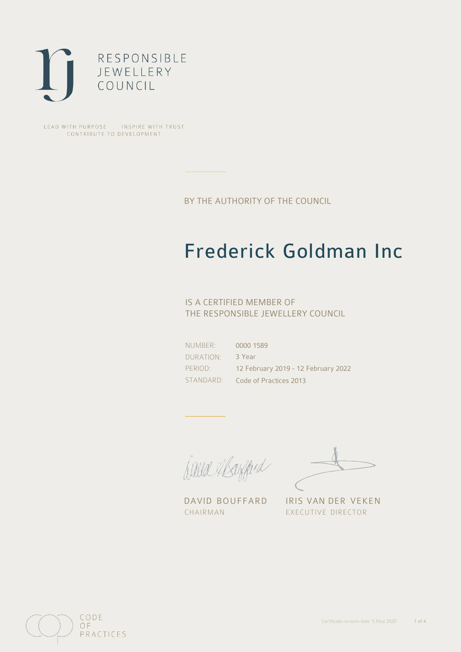

LEAD WITH PURPOSE . INSPIRE WITH TRUST CONTRIBUTE TO DEVELOPMENT

BY THE AUTHORITY OF THE COUNCIL

## Frederick Goldman Inc

### IS A CERTIFIED MEMBER OF THE RESPONSIBLE JEWELLERY COUNCIL

NUMBER: DURATION: PERIOD: STANDARD: 0000 1589 3 Year 12 February 2019 - 12 February 2022 Code of Practices 2013

Balla Mayfard

DAVID BOUFFARD IRIS VAN DER VEKEN CHAIRMAN EXECUTIVE DIRECTOR

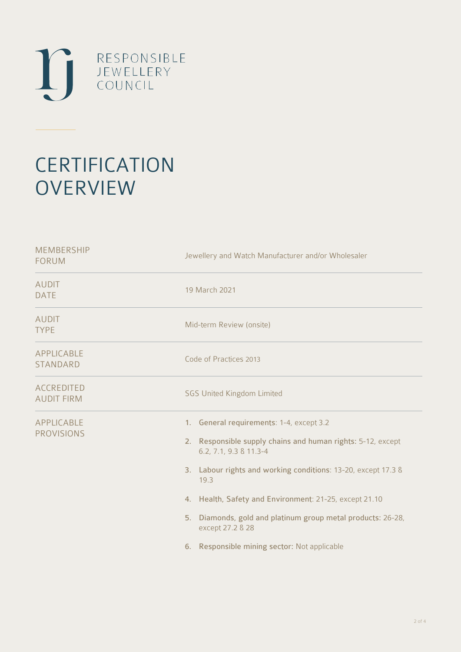

# **CERTIFICATION OVERVIEW**

| <b>MEMBERSHIP</b><br><b>FORUM</b>      | Jewellery and Watch Manufacturer and/or Wholesaler                                                                                                                                                                                                                                                                                                                                                         |  |  |
|----------------------------------------|------------------------------------------------------------------------------------------------------------------------------------------------------------------------------------------------------------------------------------------------------------------------------------------------------------------------------------------------------------------------------------------------------------|--|--|
| <b>AUDIT</b><br><b>DATE</b>            | 19 March 2021                                                                                                                                                                                                                                                                                                                                                                                              |  |  |
| <b>AUDIT</b><br><b>TYPE</b>            | Mid-term Review (onsite)                                                                                                                                                                                                                                                                                                                                                                                   |  |  |
| APPLICABLE<br><b>STANDARD</b>          | Code of Practices 2013                                                                                                                                                                                                                                                                                                                                                                                     |  |  |
| <b>ACCREDITED</b><br><b>AUDIT FIRM</b> | <b>SGS United Kingdom Limited</b>                                                                                                                                                                                                                                                                                                                                                                          |  |  |
| APPLICABLE<br><b>PROVISIONS</b>        | 1. General requirements: 1-4, except 3.2<br>2. Responsible supply chains and human rights: 5-12, except<br>6.2, 7.1, 9.3 & 11.3-4<br>3. Labour rights and working conditions: 13-20, except 17.3 &<br>19.3<br>4. Health, Safety and Environment: 21-25, except 21.10<br>Diamonds, gold and platinum group metal products: 26-28,<br>5.<br>except 27.2 & 28<br>6. Responsible mining sector: Not applicable |  |  |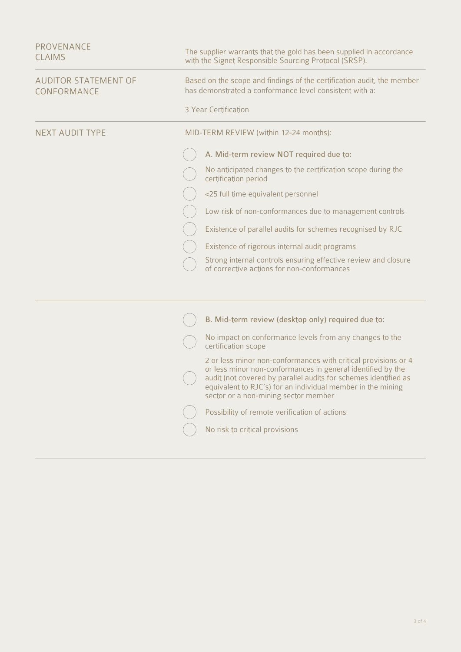| <b>PROVENANCE</b><br><b>CLAIMS</b>         | The supplier warrants that the gold has been supplied in accordance<br>with the Signet Responsible Sourcing Protocol (SRSP).      |                                                                                                                                                                                                                                                                                                         |  |
|--------------------------------------------|-----------------------------------------------------------------------------------------------------------------------------------|---------------------------------------------------------------------------------------------------------------------------------------------------------------------------------------------------------------------------------------------------------------------------------------------------------|--|
| <b>AUDITOR STATEMENT OF</b><br>CONFORMANCE | Based on the scope and findings of the certification audit, the member<br>has demonstrated a conformance level consistent with a: |                                                                                                                                                                                                                                                                                                         |  |
|                                            | 3 Year Certification                                                                                                              |                                                                                                                                                                                                                                                                                                         |  |
| <b>NEXT AUDIT TYPE</b>                     | MID-TERM REVIEW (within 12-24 months):                                                                                            |                                                                                                                                                                                                                                                                                                         |  |
|                                            |                                                                                                                                   | A. Mid-term review NOT required due to:                                                                                                                                                                                                                                                                 |  |
|                                            | certification period                                                                                                              | No anticipated changes to the certification scope during the                                                                                                                                                                                                                                            |  |
|                                            |                                                                                                                                   | <25 full time equivalent personnel                                                                                                                                                                                                                                                                      |  |
|                                            |                                                                                                                                   | Low risk of non-conformances due to management controls                                                                                                                                                                                                                                                 |  |
|                                            |                                                                                                                                   | Existence of parallel audits for schemes recognised by RJC                                                                                                                                                                                                                                              |  |
|                                            |                                                                                                                                   | Existence of rigorous internal audit programs                                                                                                                                                                                                                                                           |  |
|                                            |                                                                                                                                   | Strong internal controls ensuring effective review and closure<br>of corrective actions for non-conformances                                                                                                                                                                                            |  |
|                                            |                                                                                                                                   |                                                                                                                                                                                                                                                                                                         |  |
|                                            |                                                                                                                                   | B. Mid-term review (desktop only) required due to:                                                                                                                                                                                                                                                      |  |
|                                            | certification scope                                                                                                               | No impact on conformance levels from any changes to the                                                                                                                                                                                                                                                 |  |
|                                            |                                                                                                                                   | 2 or less minor non-conformances with critical provisions or 4<br>or less minor non-conformances in general identified by the<br>audit (not covered by parallel audits for schemes identified as<br>equivalent to RJC's) for an individual member in the mining<br>sector or a non-mining sector member |  |
|                                            |                                                                                                                                   | Possibility of remote verification of actions                                                                                                                                                                                                                                                           |  |
|                                            |                                                                                                                                   | No risk to critical provisions                                                                                                                                                                                                                                                                          |  |